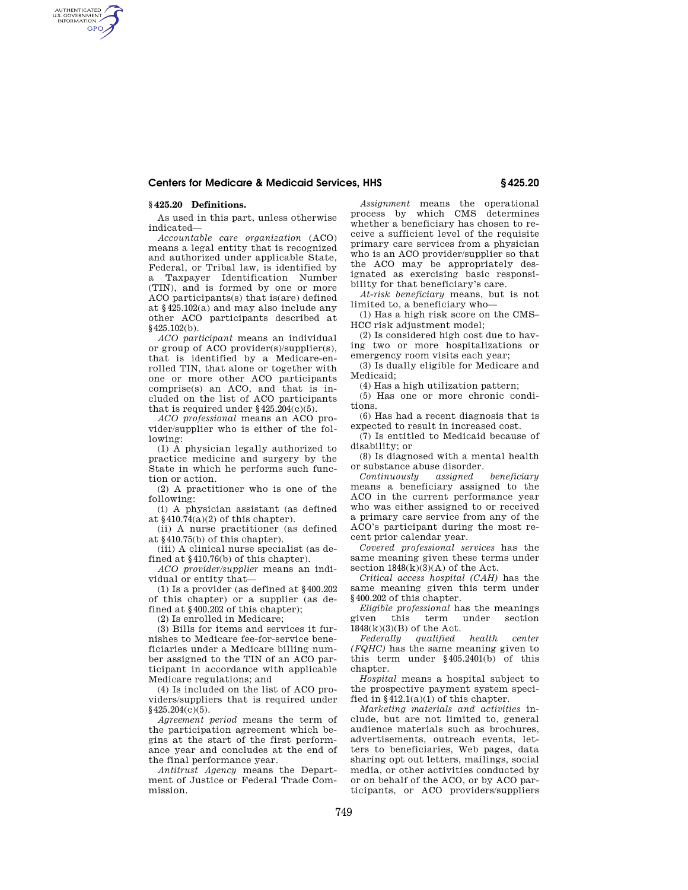## **Centers for Medicare & Medicaid Services, HHS § 425.20**

### **§ 425.20 Definitions.**

AUTHENTICATED<br>U.S. GOVERNMENT<br>INFORMATION **GPO** 

> As used in this part, unless otherwise indicated—

> *Accountable care organization* (ACO) means a legal entity that is recognized and authorized under applicable State, Federal, or Tribal law, is identified by a Taxpayer Identification Number (TIN), and is formed by one or more ACO participants(s) that is(are) defined at §425.102(a) and may also include any other ACO participants described at §425.102(b).

> *ACO participant* means an individual or group of ACO provider(s)/supplier(s), that is identified by a Medicare-enrolled TIN, that alone or together with one or more other ACO participants comprise(s) an ACO, and that is included on the list of ACO participants that is required under  $§425.204(c)(5)$ .

> *ACO professional* means an ACO provider/supplier who is either of the following:

> (1) A physician legally authorized to practice medicine and surgery by the State in which he performs such function or action.

> (2) A practitioner who is one of the following:

> (i) A physician assistant (as defined at  $§410.74(a)(2)$  of this chapter).

> (ii) A nurse practitioner (as defined at §410.75(b) of this chapter).

> (iii) A clinical nurse specialist (as defined at §410.76(b) of this chapter).

*ACO provider/supplier* means an individual or entity that—

(1) Is a provider (as defined at §400.202 of this chapter) or a supplier (as defined at §400.202 of this chapter);

(2) Is enrolled in Medicare;

(3) Bills for items and services it furnishes to Medicare fee-for-service beneficiaries under a Medicare billing number assigned to the TIN of an ACO participant in accordance with applicable Medicare regulations; and

(4) Is included on the list of ACO providers/suppliers that is required under §425.204(c)(5).

*Agreement period* means the term of the participation agreement which begins at the start of the first performance year and concludes at the end of the final performance year.

*Antitrust Agency* means the Department of Justice or Federal Trade Commission.

*Assignment* means the operational process by which CMS determines whether a beneficiary has chosen to receive a sufficient level of the requisite primary care services from a physician who is an ACO provider/supplier so that the ACO may be appropriately designated as exercising basic responsibility for that beneficiary's care.

*At-risk beneficiary* means, but is not limited to, a beneficiary who—

(1) Has a high risk score on the CMS– HCC risk adjustment model;

(2) Is considered high cost due to having two or more hospitalizations or emergency room visits each year;

(3) Is dually eligible for Medicare and Medicaid<sup>.</sup>

(4) Has a high utilization pattern;

(5) Has one or more chronic conditions.

(6) Has had a recent diagnosis that is expected to result in increased cost.

(7) Is entitled to Medicaid because of disability; or

(8) Is diagnosed with a mental health or substance abuse disorder.

*Continuously assigned beneficiary*  means a beneficiary assigned to the ACO in the current performance year who was either assigned to or received a primary care service from any of the ACO's participant during the most recent prior calendar year.

*Covered professional services* has the same meaning given these terms under section  $1848(k)(3)(A)$  of the Act.

*Critical access hospital (CAH)* has the same meaning given this term under §400.202 of this chapter.

*Eligible professional* has the meanings under section 1848(k)(3)(B) of the Act.

*Federally qualified health center (FQHC)* has the same meaning given to this term under §405.2401(b) of this chapter.

*Hospital* means a hospital subject to the prospective payment system specified in  $§412.1(a)(1)$  of this chapter.

*Marketing materials and activities* include, but are not limited to, general audience materials such as brochures, advertisements, outreach events, letters to beneficiaries, Web pages, data sharing opt out letters, mailings, social media, or other activities conducted by or on behalf of the ACO, or by ACO participants, or ACO providers/suppliers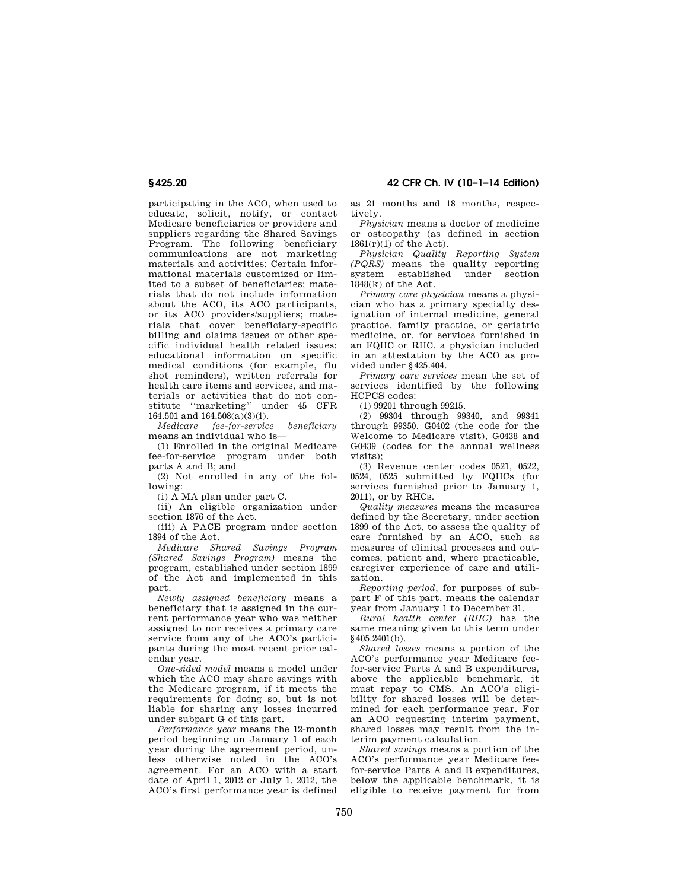# **§ 425.20 42 CFR Ch. IV (10–1–14 Edition)**

participating in the ACO, when used to educate, solicit, notify, or contact Medicare beneficiaries or providers and suppliers regarding the Shared Savings Program. The following beneficiary communications are not marketing materials and activities: Certain informational materials customized or limited to a subset of beneficiaries; materials that do not include information about the ACO, its ACO participants, or its ACO providers/suppliers; materials that cover beneficiary-specific billing and claims issues or other specific individual health related issues; educational information on specific medical conditions (for example, flu shot reminders), written referrals for health care items and services, and materials or activities that do not constitute ''marketing'' under 45 CFR 164.501 and 164.508(a)(3)(i).

*Medicare fee-for-service beneficiary*  means an individual who is—

(1) Enrolled in the original Medicare fee-for-service program under both parts A and B; and

(2) Not enrolled in any of the following:

(i) A MA plan under part C.

(ii) An eligible organization under section 1876 of the Act.

(iii) A PACE program under section 1894 of the Act.

*Medicare Shared Savings Program (Shared Savings Program)* means the program, established under section 1899 of the Act and implemented in this part.

*Newly assigned beneficiary* means a beneficiary that is assigned in the current performance year who was neither assigned to nor receives a primary care service from any of the ACO's participants during the most recent prior calendar year.

*One-sided model* means a model under which the ACO may share savings with the Medicare program, if it meets the requirements for doing so, but is not liable for sharing any losses incurred under subpart G of this part.

*Performance year* means the 12-month period beginning on January 1 of each year during the agreement period, unless otherwise noted in the ACO's agreement. For an ACO with a start date of April 1, 2012 or July 1, 2012, the ACO's first performance year is defined

as 21 months and 18 months, respectively.

*Physician* means a doctor of medicine or osteopathy (as defined in section  $1861(r)(1)$  of the Act).

*Physician Quality Reporting System (PQRS)* means the quality reporting system established under section 1848(k) of the Act.

*Primary care physician* means a physician who has a primary specialty designation of internal medicine, general practice, family practice, or geriatric medicine, or, for services furnished in an FQHC or RHC, a physician included in an attestation by the ACO as provided under §425.404.

*Primary care services* mean the set of services identified by the following HCPCS codes:

(1) 99201 through 99215.

(2) 99304 through 99340, and 99341 through 99350, G0402 (the code for the Welcome to Medicare visit), G0438 and G0439 (codes for the annual wellness visits);

(3) Revenue center codes 0521, 0522, 0524, 0525 submitted by FQHCs (for services furnished prior to January 1, 2011), or by RHCs.

*Quality measures* means the measures defined by the Secretary, under section 1899 of the Act, to assess the quality of care furnished by an ACO, such as measures of clinical processes and outcomes, patient and, where practicable, caregiver experience of care and utilization.

*Reporting period,* for purposes of subpart F of this part, means the calendar year from January 1 to December 31.

*Rural health center (RHC)* has the same meaning given to this term under §405.2401(b).

*Shared losses* means a portion of the ACO's performance year Medicare feefor-service Parts A and B expenditures, above the applicable benchmark, it must repay to CMS. An ACO's eligibility for shared losses will be determined for each performance year. For an ACO requesting interim payment, shared losses may result from the interim payment calculation.

*Shared savings* means a portion of the ACO's performance year Medicare feefor-service Parts A and B expenditures, below the applicable benchmark, it is eligible to receive payment for from